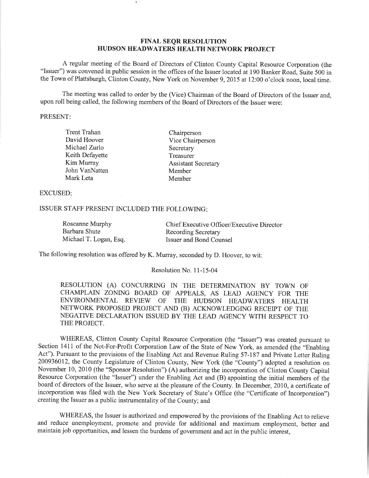### FINAL SEQR RESOLUTION HUDSON HEADWATERS HEALTH NETWORK PROJECT

A regular meeting of the Board of Directors of Clinton County Capital Resource Corporation (the "Issuer") was convened in public session in the offices of the Issuer located at 190 Banker Road, Suite 500 in the Town of Plattsburgh, Clinton County, New York on November 9,2015 at 12:00 o'clock noon, local time.

The meeting was called to order by the (Vice) Chairman of the Board of Directors of the Issuer and upon roll being called, the following members of the Board of Directors of the Issuer were:

### PRESENT:

Trent Trahan David Hoover Michael Zurlo Keith Defayette Kim Murray John VanNatten Mark Leta

Chairperson Vice Chairperson Secretary Treasurer Assistant Secretary Member Member

#### EXCUSED

ISSUER STAFF PRESENT INCLUDED THE FOLLOWING

| Roseanne Murphy        | Chief Executive Officer/Executive Director |
|------------------------|--------------------------------------------|
| Barbara Shute          | <b>Recording Secretary</b>                 |
| Michael T. Logan, Esq. | Issuer and Bond Counsel                    |

The following resolution was offered by K. Murray, seconded by D. Hoover, to wit:

#### Resolution No. 11-15-04

RESOLUTION (A) CONCURRING IN THE DETERMINATION BY TOWN OF CHAMPLAIN ZONING BOARD OF APPEALS, AS LEAD AGENCY FOR THE ENVIRONMENTAL REVIEW OF THE HUDSON HEADWATERS HEALTH NETWORK PROPOSED PROJECT AND (B) ACKNOWLEDGING RECEIPT OF THE NEGATIVE DECLARATION ISSUED BY THE LEAD AGENCY WITH RESPECT TO THE PROJECT.

WHEREAS, Clinton County Capital Resource Corporation (the "Issuer") was created pursuant to Section 1411 of the Not-For-Profit Corporation Law of the State of New York, as amended (the "Enabling Act"). Pursuant to the provisions of the Enabling Act and Revenue Ruling 57-187 and Private Letter Ruling 200936012, the County Legislature of Clinton County, New York (the "County") adopted a resolution on November 10, 2010 (the "Sponsor Resolution") (A) authorizing the incorporation of Clinton County Capital Resource Corporation (the "Issuer") under the Enabling Act and (B) appointing the initial members of the board of directors of the Issuer, who serve at the pleasure of the County. In December,2010, a certificate of incorporation was filed with the New York Secretary of State's Office (the "Certificate of Incorporation") creating the Issuer as a public instrumentality of the County; and

WHEREAS, the Issuer is authorized and empowered by the provisions of the Enabling Act to relieve and reduce unemployment, promote and provide for additional and maximum employment, better and maintain job opportunities, and lessen the burdens of government and act in the public interest,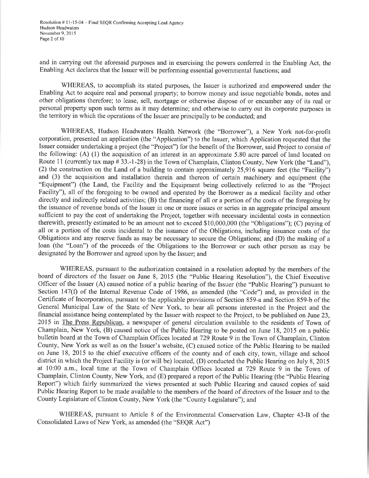Resolution  $# 11-15-04$  – Final SEQR Confirming Accepting Lead Agency Hudson Headwaters Novernber 9, 2015 Page 2 of l0

and in carrying out the aforesaid purposes and in exercising the powers conferred in the Enabling Act, the Enabling Act declares that the Issuer will be performing essential governmental functions; and

WHEREAS, to accomplish its stated purposes, the Issuer is authorized and empowered under the Enabling Act to acquire real and personal property; to borrow money and issue negotiable bonds, notes and other obligations therefore; to lease, sell, mortgage or otherwise dispose of or encumber any of its real or personal property upon such terms as it may determine; and otherwise to carry out its corporate purposes in the territory in which the operations of the Issuer are principally to be conducted; and

WHEREAS, Hudson Headwaters Health Network (the "Borrower"), a New York not-for-profit corporation, presented an application (the "Application") to the Issuer, which Application requested that the Issuer consider undertaking a project (the "Project") for the benefit of the Borrower, said Project to consist of the following: (A) (1) the acquisition of an interest in an approximate 5.80 acre parcel of land located on Route 11 (currently tax map # 33.-l-28) in the Town of Champlain, Clinton County, New York (the "Land"), (2) Ihe construction on the Land of a building to contain approximately 25,916 square feet (the "Facility") and (3) the acquisition and installation therein and thereon of certain machinery and equipment (the "Equipment") (the Land, the Facility and the Equipment being collectively referred to as the "Project Facility"), all of the foregoing to be owned and operated by the Borrower as a medical facility and other directly and indirectly related activities; (B) the financing of all or a portion of the costs of the foregoing by the issuance of revenue bonds of the Issuer in one or more issues or series in an aggregate principal amount sufficient to pay the cost of undertaking the Project, together with necessary incidental costs in connection therewith, presently estimated to be an amount not to exceed \$10,000,000 (the "Obligations"); (C) paying of all or a portion of the costs incidental to the issuance of the Obligations, including issuance costs of the Obligations and any reserve funds as may be necessary to secure the Obligations; and (D) the making of a loan (the "Loan") of the proceeds of the Obligations to the Borrower or such other person as may be designated by the Borrower and agreed upon by the Issuer; and

WHEREAS, pursuant to the authorization contained in a resolution adopted by the members of the board of directors of the Issuer on June 8, 2015 (the "Public Hearing Resolution"), the Chief Executive Officer of the Issuer (A) caused notice of a public hearing of the Issuer (the "Public Hearing") pursuant to Section 147(f) of the Internal Revenue Code of 1986, as amended (the "Code") and, as provided in the Certificate of lncorporation, pursuant to the applicable provisions of Section 859-a and Section 859-b of the General Municipal Law of the State of New York, to hear all persons interested in the Project and the financial assistance being contemplated by the Issuer with respect to the Project, to be published on June 23, 2015 in The Press Republican, a newspaper of general circulation available to the residents of Town of Champlain, New York, (B) caused notice of the Public Hearing to be posted on June 18, 2015 on a public bulletin board at the Town of Champlain Offices located at 729 Route 9 in the Town of Champlain, Clinton County, New York as well as on the Issuer's website, (C) caused notice of the Public Hearing to be mailed on June 18,2015 to the chief executive ofhcers of the county and of each city, town, village and school district in which the Project Facility is (or will be) located, (D) conducted the Public Hearing on July 8, 2015 at 10:00 a.m., local time at the Town of Champlain Offices located at 729 Route 9 in the Town of Champlain, Clinton County, New York, and (E) prepared a report of the Public Hearing (the "Public Hearing Report") which fairly summarized the views presented at such Public Hearing and caused copies of said Public Hearing Report to be made available to the members of the board of directors of the Issuer and to the County Legislature of Clinton County, New York (the "County Legislature"); and

WHEREAS, pursuant to Article 8 of the Environmental Conservation Law, Chapter 43-B of the Consolidated Laws of New York, as amended (the "SEQR Act")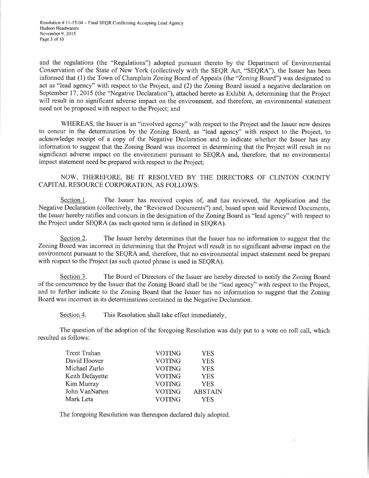and the regulations (the "Regulations") adopted pursuant thereto by the Department of Environmental Conservation of the State of New York (collectively with the SEQR Act, "SEQRA"), the Issuer has been informed that (1) the Town of Champlain Zoning Board of Appeals (the "Zoning Board") was designated to act as "lead agency" with respect to the Project, and (2) the Zoning Board issued a negative declaration on September 17,2015 (the "Negative Declaration"), attached hereto as Exhibit A, determining that the Project will result in no significant adverse impact on the environment, and therefore, an environmental statement need not be proposed with respect to the Project; and

WHEREAS, the Issuer is an "involved agency" with respect to the Project and the Issuer now desires to concur in the determination by the Zoning Board, as "lead agency" with respect to the Project, to acknowledge receipt of a copy of the Negative Declaration and to indicate whether the Issuer has any information to suggest that the Zoning Board was incorrect in determining that the Project will result in no significant adverse impact on the environment pursuant to SEQRA and, therefore, that no environmental impact statement need be prepared with respect to the Project;

### NOW, THEREFORE, BE IT RESOLVED BY THE DIRECTORS OF CLINTON COUNTY CAPITAL RESOURCE CORPORATION, AS FOLLOWS:

Section 1. The Issuer has received copies of, and has reviewed, the Application and the Negative Declaration (collectively, the "Reviewed Documents") and, based upon said Reviewed Documents, the Issuer hereby ratifies and concurs in the designation of the Zoning Board as "lead agency" with respect to the Project under SEQRA (as such quoted term is defined in SEQRA).

Section 2. The Issuer hereby determines that the Issuer has no information to suggest that the Zoning Board was incorrect in determining that the Project will result in no significant adverse impact on the environment pursuant to the SEQRA and, therefore, that no environmental impact statement need be prepare with respect to the Project (as such quoted phrase is used in SEQRA).

Section 3. The Board of Directors of the Issuer are hereby directed to notify the Zoning Board of the concurrence by the Issuer that the Zoning Board shall be the "lead agency" with respect to the Project, and to further indicate to the Zoning Board that the Issuer has no information to suggest that the Zoning Board was incorrect in its determinations contained in the Negative Declaration.

Section 4. This Resolution shall take effect immediately.

The question of the adoption of the foregoing Resolution was duly put to a vote on roll call, which resulted as follows:

| Trent Trahan    | <b>VOTING</b> | YES            |
|-----------------|---------------|----------------|
| David Hoover    | <b>VOTING</b> | <b>YES</b>     |
| Michael Zurlo   | <b>VOTING</b> | <b>YES</b>     |
| Keith Defayette | <b>VOTING</b> | <b>YES</b>     |
| Kim Murray      | <b>VOTING</b> | <b>YES</b>     |
| John VanNatten  | <b>VOTING</b> | <b>ABSTAIN</b> |
| Mark Leta       | <b>VOTING</b> | YES            |

The foregoing Resolution was thereupon declared duly adopted.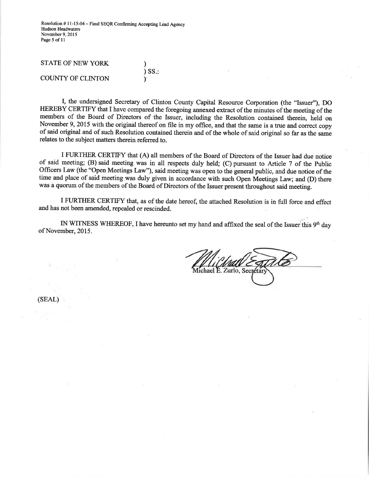Resolution # I 1-15-04 - Final SEQR Confirming Accepting Lead Agency Hudson Headwaters November 9, 2015 Page 5 of 11

| <b>STATE OF NEW YORK</b> |            |
|--------------------------|------------|
|                          | $\sum$ SS: |
| COUNTY OF CLINTON        |            |

I, the undersigned Secretary of Clinton County Capital Resource Corporation (the "Issuer"), DO HEREBY CERTIFY that I have compared the foregoing annexed extract of the minutes of the meeting of the members of the Board of Directors of the fssuer, including the Resolution contained therein, held on November 9,2015 with the originâl thereof on file in my office, and that the same is a true and correct copy of said original and of such Resolution contained therein and of the whole of said original so far as the same relates to the subject matters therein referred to.

I FURTHER CERTIFY that (A) all members of the Board of Directors of the Issuer had due notice of said meeting; (B) said meeting was in all respects duly held; (C) pursuant to Article 7 of the public Officers Law (the "Open Meetings Law"), said meeting was open to the general public, and due notice of the time and place of said meeting was duly given in accordance with such Open Meetings Law; and (D) there was a quorum of the members of the Board of Directors of the Issuer present throughout said meeting.

I FURTHER CERTIFY that, as of the date hereof, the attached Resolution is in full force and effect and has not been amended, repealed or rescinded.

IN WITNESS WHEREOF, I have hereunto set my hand and affixed the seal of the Issuer this  $9<sup>th</sup>$  day of November, 2015.

Michael E. Zurlo, Secrétary

(sEAL)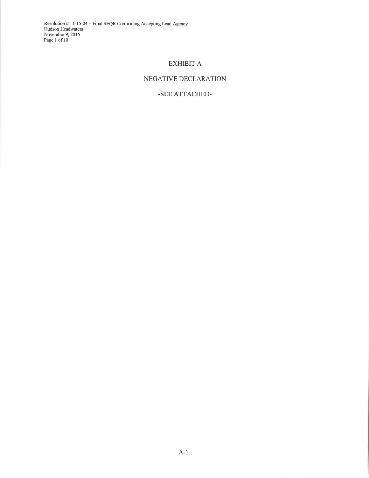Resolution # 11-15-04 -- Final SEQR Confirming Accepting Lead Agency<br>Hudson Headwaters November 9, 2015<br>Page 1 of 10

# EXHIBIT A

# NEGATTVE DECLARATION

## -SEE ATTACHED-

A-1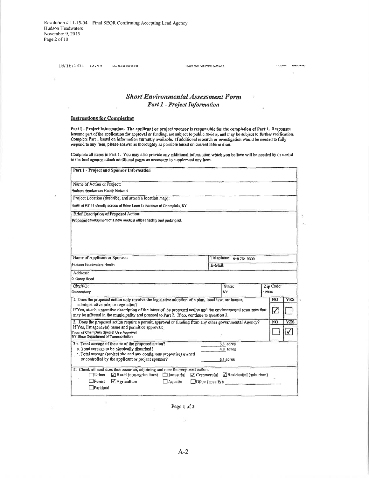x

10/16/2015 13:40 OTASAQQQAD EURO NJE SERINI SAMATI

 $\label{eq:1} \mathcal{L}(X) \mathcal{D}^{\text{H}} \mathcal{D}^{\text{H}} = \mathcal{D}^{\text{H}} \mathcal{D}^{\text{H}} \mathcal{D}^{\text{H}} \mathcal{D}^{\text{H}}$  $\sim$ 

 $\frac{1}{2}$ 

### **Short Environmental Assessment Form Part 1 - Project Information**

#### **Instructions for Completing**

ü.

Part  $1$  - Project Information. The applicant or project sponsor is responsible for the completion of Part 1. Responses become part of the application for approval or funding, are subject to public review, and may be subj

Complete all items in Part 1. You may also provide any additional information which you believe will be needed by or useful<br>to the lead agency; attach additional pages as necessary to supplement any item.

| Part 1 - Project and Sponsor Information                                                                                                                                                                                                             |                                                                                |       |           |            |
|------------------------------------------------------------------------------------------------------------------------------------------------------------------------------------------------------------------------------------------------------|--------------------------------------------------------------------------------|-------|-----------|------------|
| Name of Action or Project:                                                                                                                                                                                                                           |                                                                                |       |           |            |
| Hudson Headwaters Health Network                                                                                                                                                                                                                     |                                                                                |       |           |            |
| Project Location (describe, and attach a location map):                                                                                                                                                                                              |                                                                                |       |           |            |
| North of RT 11 directly across of Eden Lane in the town of Champlain, NY                                                                                                                                                                             |                                                                                |       |           |            |
| Brief Description of Proposed Action:                                                                                                                                                                                                                |                                                                                |       |           |            |
| Proposed development of a new medical offices facility and parking lot.                                                                                                                                                                              |                                                                                |       |           |            |
|                                                                                                                                                                                                                                                      |                                                                                |       |           |            |
| Name of Applicant or Sponsor:                                                                                                                                                                                                                        | Telephone: 518 761 0300                                                        |       |           |            |
| Hudson Hoadwaters Health<br>E-Mail:                                                                                                                                                                                                                  |                                                                                |       |           |            |
| Address:                                                                                                                                                                                                                                             |                                                                                |       |           |            |
| 9 Carey Road                                                                                                                                                                                                                                         |                                                                                |       |           |            |
| City/PO:<br>Queensbury                                                                                                                                                                                                                               | State:<br><b>NY</b>                                                            | 12804 | Zip Code: |            |
| 1. Does the proposed action only involve the legislative adoption of a plan, local law, ordinance,                                                                                                                                                   |                                                                                |       | NO        | <b>YES</b> |
| administrative rule, or regulation?<br>If Yes, attach a narrative description of the intent of the proposed action and the environmental resources that<br>may be affected in the municipality and proceed to Part 2. If no, continue to question 2. |                                                                                |       | √         |            |
| 2. Does the proposed action require a permit, approval or funding from any other governmental Agency?                                                                                                                                                |                                                                                |       | NO        | <b>YES</b> |
| If Yes, list agency(s) name and permit or approval:<br>Town of Champlain Special Use Approval<br>NY State Department of Transportation                                                                                                               |                                                                                |       |           | V          |
| 3.a. Total acreage of the site of the proposed action?<br>b. Total acreage to be physically disturbed?                                                                                                                                               | 5.8 acres<br>4.8 acres                                                         |       |           |            |
| c. Total acreage (project site and any contiguous properties) owned<br>or controlled by the applicant or project sponsor?                                                                                                                            | 5.0 acres                                                                      |       |           |            |
| 4. Check all land uses that occur on, adjoining and near the proposed action.<br>$\sqrt{2}$ Rural (non-agriculture)<br>$\Box$ Industrial<br>$\Box$ Urban<br><b>Z</b> Agriculture<br>$\Box$ Forest<br>$\Box$ Aquatic                                  | $\nabla$ Commercial $\nabla$ Residential (suburban)<br>$\Box$ Other (specify): |       |           |            |

Page 1 of 3

 $\ddot{\phantom{a}}$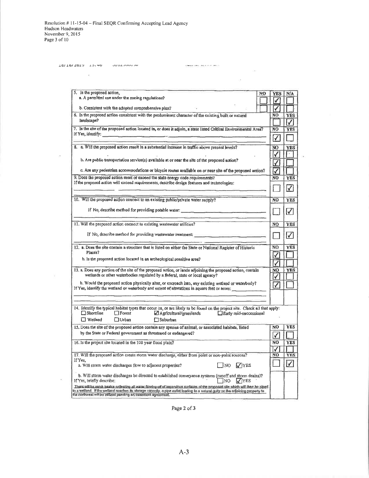|  | TRITO VOT /R | エコ・サロー | <b>ULUZUOUUUU</b> |
|--|--------------|--------|-------------------|
|--|--------------|--------|-------------------|

 $\sim$   $\%$ 

J.

 $\widetilde{\omega}$ 

 $\ddot{\phantom{a}}$ 

|  | a bearing trees they are so to the con- |  |
|--|-----------------------------------------|--|

 $\sim 100$ 

s.

| 5. Is the proposed action,<br>NO<br>a. A permitted use under the zoning regulations?                                                                                                                                                                                                                                                                                                                                                                                                                                                                                                                   | YES            | N/A                      |
|--------------------------------------------------------------------------------------------------------------------------------------------------------------------------------------------------------------------------------------------------------------------------------------------------------------------------------------------------------------------------------------------------------------------------------------------------------------------------------------------------------------------------------------------------------------------------------------------------------|----------------|--------------------------|
| b. Consistent with the adopted comprehensive plan?                                                                                                                                                                                                                                                                                                                                                                                                                                                                                                                                                     |                |                          |
| 6. Is the proposed action consistent with the predominant character of the existing built or natural<br>landscape?                                                                                                                                                                                                                                                                                                                                                                                                                                                                                     | N <sub>O</sub> | <b>YES</b>               |
| 7. Is the site of the proposed action located in, or does it adjoin, a state listed Critical Environmental Araa?                                                                                                                                                                                                                                                                                                                                                                                                                                                                                       | NO<br>√        | <b>YES</b>               |
| 8. a. Will the proposed action result in a substantial increase in traffic above present levels?                                                                                                                                                                                                                                                                                                                                                                                                                                                                                                       | NO             | <b>YES</b>               |
| b. Are public transportation service(s) available at or near the site of the proposed action?                                                                                                                                                                                                                                                                                                                                                                                                                                                                                                          |                |                          |
| c. Are any pedestrian accommodations or bicycle routes available on or near site of the proposed action?                                                                                                                                                                                                                                                                                                                                                                                                                                                                                               | √              |                          |
| 9. Does the proposed action meet or exceed the state energy code requirements?<br>If the proposed action will exceed requirements, describe design features and technologies:                                                                                                                                                                                                                                                                                                                                                                                                                          | N <sub>O</sub> | YES<br>$\checkmark$      |
| 10. Will the proposed action connect to an existing public/private water supply?                                                                                                                                                                                                                                                                                                                                                                                                                                                                                                                       | N <sub>O</sub> | <b>YES</b>               |
| If No, describe method for providing potable water:                                                                                                                                                                                                                                                                                                                                                                                                                                                                                                                                                    |                | $\sqrt{}$                |
| 11. Will the proposed action connect to existing was tewater utilities?                                                                                                                                                                                                                                                                                                                                                                                                                                                                                                                                | NO             | <b>YES</b>               |
| If No, describe method for providing wastewater treatment: with the state of the state of the state of the state of the state of the state of the state of the state of the state of the state of the state of the state of th                                                                                                                                                                                                                                                                                                                                                                         |                | ✓                        |
| 12. a. Does the site contain a structure that is listed on either the State or National Register of Historic<br>Places?<br>b. Is the proposed action located in an archeological sensitive area?<br>13. a. Does any portion of the site of the proposed action, or lands adjoining the proposed action, contain<br>wetlands or other waterbodies regulated by a federal, state or local agency?<br>b. Would the proposed action physically alter, or encroach into, any existing wetland or waterbody?<br>If Yes, identify the wetland or waterbody and extent of alterations in square feet or acres: | NO<br>NO       | <b>YES</b><br><b>YES</b> |
| 14. Identify the typical habitat types that occur on, or are likely to be found on the project site. Check all that apply:<br>$\Box$ Shoreline<br>$\Box$ Forest<br>$\Box$ Agricultural/grasslands $\Box$ Early mid-successional<br>$\Box$ Wetland<br>$\Box$ Urban<br><b>CT</b> Suburban                                                                                                                                                                                                                                                                                                                |                |                          |
| 15. Does the site of the proposed action contain any species of animal, or associated habitats, listed<br>by the State or Federal government as threatened or endangered?                                                                                                                                                                                                                                                                                                                                                                                                                              | NO             | <b>YES</b>               |
| 16. Is the project site located in the 100 year flood plain?                                                                                                                                                                                                                                                                                                                                                                                                                                                                                                                                           | NO<br>✓        | <b>YES</b>               |
| 17. Will the proposed action create storm water discharge, either from point or non-point sources?<br>If Yes.                                                                                                                                                                                                                                                                                                                                                                                                                                                                                          | NO             | <b>YES</b>               |
| a. Will storm water discharges flow to adjacent properties?<br>NO  <br><b>VIYES</b>                                                                                                                                                                                                                                                                                                                                                                                                                                                                                                                    |                | √                        |
| b. Will storm water discharges be directed to established conveyance systems (runoff and storm drains)?<br>If Yes, briefly describe:<br>INO.<br>$V$ YES<br>There will be eatch beains collecting all water flowing off of impervious surfaces of the proposed site which will then be piped<br>to a wetland. If the wetland reaches its storage capacity, a pipe outlet leading to a natural gully on the adjoining property to<br>the northwest will be utilized pending an easement agreement.                                                                                                       |                |                          |

Page 2 of  $\mathbf 3$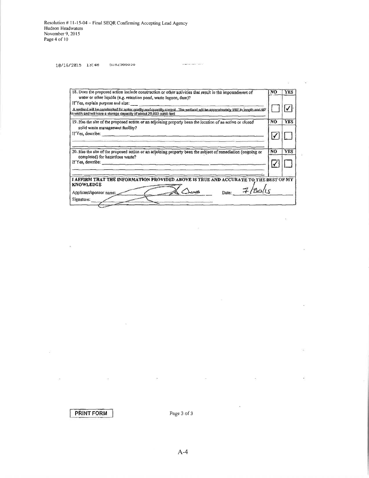OTARZOOOOO 10/16/2015 13:40

 $\sqrt{\omega_{\rm{NN}}/\omega_{\rm{NN}}}$  , and  $\sqrt{\omega_{\rm{NN}}}$ 

 $\frac{1}{2}$ 

w

 $\overline{\mathcal{L}}$ 

 $\mathcal{C}$ 

 $\overline{\phantom{a}}$ 

ä

| 18. Does the proposed action include construction or other activities that result in the impoundment of                                                                                                                                                                                                          | NO  | <b>YES</b> |
|------------------------------------------------------------------------------------------------------------------------------------------------------------------------------------------------------------------------------------------------------------------------------------------------------------------|-----|------------|
| water or other liquids (e.g. retention pond, waste lagoon, dam)?<br>If Yes, explain purpose and size:<br>A wellend will be constructed for water quality and quantity control. The welland will be approximately 150' in length and 90'<br>in width and will have a storage capacity of about 25,000 cubic feel. |     |            |
| 19. Has the site of the proposed action or an adjoining property been the location of an active or closed<br>solid waste management facility?                                                                                                                                                                    | NO. | <b>YES</b> |
| If $Yes, describe:$                                                                                                                                                                                                                                                                                              |     |            |
| 20. Has the site of the proposed action or an adjoining property been the subject of remediation (ongoing or<br>completed) for hazardous waste?                                                                                                                                                                  | NO. | <b>YES</b> |
|                                                                                                                                                                                                                                                                                                                  |     |            |
| I AFFIRM THAT THE INFORMATION PROVIDED ABOVE IS TRUE AND ACCURATE TO THE BEST OF MY<br><b>KNOWLEDGE</b><br>Date: $7$<br>Applicant/sponsor name:<br>Signature:                                                                                                                                                    |     |            |

**PRINT FORM** 

ä,

 $\bar{z}$ 

 $\sim$ 

 $\lambda$ 

Page 3 of 3  $\,$ 

 $\alpha$ 

 $\bar{\nu}$ 

j.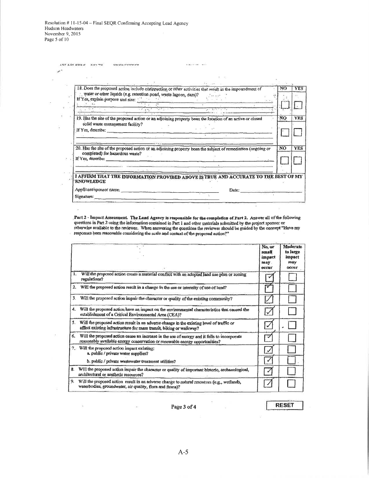**UAUGUUUUUU** 

TON TOT SOTA TOTAO

D.

 $\frac{1}{2}$ 

|                                                                  |                              | 18. Does the proposed action include construction or other activities that result in the impoundment of      | NO.            | <b>YES</b> |
|------------------------------------------------------------------|------------------------------|--------------------------------------------------------------------------------------------------------------|----------------|------------|
| water or other liquids (e.g. retention pond, waste lagoon, dam)? |                              |                                                                                                              |                |            |
| If Yes, explain purpose and size:                                |                              |                                                                                                              |                |            |
|                                                                  | and the property of the con- |                                                                                                              |                |            |
|                                                                  |                              | 19. Has the site of the proposed action or an adjoining property been the location of an active or closed    | Ñ0             | <b>YES</b> |
| solid waste management facility?                                 |                              |                                                                                                              |                |            |
| If Yes, describe:                                                |                              |                                                                                                              |                |            |
|                                                                  |                              |                                                                                                              |                |            |
|                                                                  |                              | 20. Has the site of the proposed action or an adjoining property been the subject of remediation (ongoing or | N <sub>O</sub> | <b>YES</b> |
| completed) for hazardous waste?                                  |                              |                                                                                                              |                |            |
| If Yes, describe:                                                |                              |                                                                                                              |                |            |
|                                                                  |                              |                                                                                                              |                |            |
|                                                                  |                              |                                                                                                              |                |            |
|                                                                  |                              | I AFFIRM THAT THE INFORMATION PROVIDED ABOVE IS TRUE AND ACCURATE TO THE BEST OF MY                          |                |            |
|                                                                  |                              |                                                                                                              |                |            |
| <b>KNOWLEDGE</b><br>Applicant/sponsor name:                      |                              | Date:                                                                                                        |                |            |

School car with

Part 2 - Impact Assessment. The Lead Agency is responsible for the completion of Part 2. Answer all of the following questions in Part 2 using the information contained in Part 1 and other materials submitted by the proje

|    |                                                                                                                                                                            | No, or<br>small<br>impact<br>may.<br>occur | Moderate<br>to large<br>lmpact<br>mev<br>оссаг |
|----|----------------------------------------------------------------------------------------------------------------------------------------------------------------------------|--------------------------------------------|------------------------------------------------|
| т. | Will the proposed action create a material conflict with an adopted land use plan or zoning<br>regulations?                                                                |                                            |                                                |
| 2. | Will the proposed action result in a change in the use or intensity of use of land?                                                                                        | v                                          |                                                |
| 3. | Will the proposed action impair the character or quality of the existing community?                                                                                        |                                            |                                                |
|    | 4. Will the proposed action have an impact on the environmental characteristics that caused the<br>establishment of a Critical Environmental Area (CEA)?                   |                                            |                                                |
| 5. | Will the proposed action result in an adverse change in the existing level of traffic or<br>affect existing infrastructure for mass transit, biking or walkway?            |                                            |                                                |
| 6. | Will the proposed action cause an increase in the use of energy and it fails to incorporate<br>reasonably available energy conservation or renewable energy opportunities? |                                            |                                                |
| ク. | Will the proposed action impact existing:<br>a. public / private water supplies?                                                                                           |                                            |                                                |
|    | b. public / private wastewater treatment utilities?                                                                                                                        |                                            |                                                |
| 8. | Will the proposed action impair the character or quality of important historic, archaeological,<br>architectural or aesthetic resources?                                   |                                            |                                                |
| 9. | Will the proposed action result in an adverse change to natural resources (e.g., wetlands,<br>waterbodies, groundwater, air quality, flora and fauna)?                     |                                            |                                                |

Page 3 of 4

**RESET** 

 $\hat{u}$ 

 $\tilde{\Delta}$